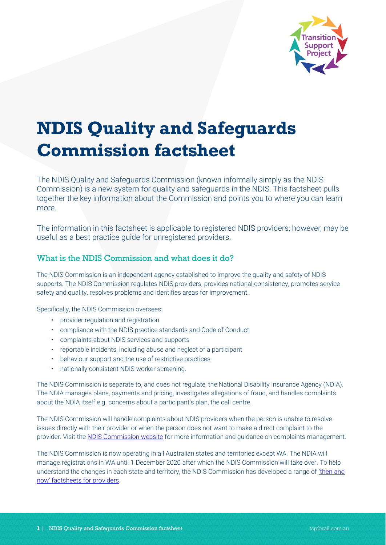

# **NDIS Quality and Safeguards Commission factsheet**

The NDIS Quality and Safeguards Commission (known informally simply as the NDIS Commission) is a new system for quality and safeguards in the NDIS. This factsheet pulls together the key information about the Commission and points you to where you can learn more.

The information in this factsheet is applicable to registered NDIS providers; however, may be useful as a best practice guide for unregistered providers.

## What is the NDIS Commission and what does it do?

The NDIS Commission is an independent agency established to improve the quality and safety of NDIS supports. The NDIS Commission regulates NDIS providers, provides national consistency, promotes service safety and quality, resolves problems and identifies areas for improvement.

Specifically, the NDIS Commission oversees:

- provider regulation and registration
- compliance with the NDIS practice standards and Code of Conduct
- complaints about NDIS services and supports
- reportable incidents, including abuse and neglect of a participant
- behaviour support and the use of restrictive practices
- nationally consistent NDIS worker screening.

The NDIS Commission is separate to, and does not regulate, the National Disability Insurance Agency (NDIA). The NDIA manages plans, payments and pricing, investigates allegations of fraud, and handles complaints about the NDIA itself e.g. concerns about a participant's plan, the call centre.

The NDIS Commission will handle complaints about NDIS providers when the person is unable to resolve issues directly with their provider or when the person does not want to make a direct complaint to the provider. Visit [the NDIS Commission website](https://www.ndiscommission.gov.au/providers/complaints-management) for more information and guidance on complaints management.

The NDIS Commission is now operating in all Australian states and territories except WA. The NDIA will manage registrations in WA until 1 December 2020 after which the NDIS Commission will take over. To help understand the changes in each state and territory, the NDIS Commission has developed a range of 'then and [now' factsheets for providers](https://www.ndiscommission.gov.au/resources/fact-sheets).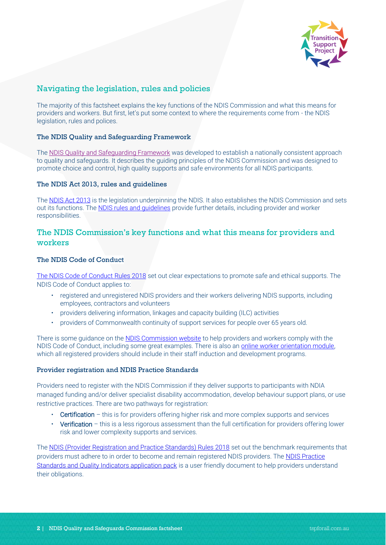

## Navigating the legislation, rules and policies

The majority of this factsheet explains the key functions of the NDIS Commission and what this means for providers and workers. But first, let's put some context to where the requirements come from - the NDIS legislation, rules and polices.

#### The NDIS Quality and Safeguarding Framework

The [NDIS Quality and Safeguarding Framework](https://www.dss.gov.au/disability-and-carers/programs-services/for-people-with-disability/ndis-quality-and-safeguarding-framework-0) was developed to establish a nationally consistent approach to quality and safeguards. It describes the guiding principles of the NDIS Commission and was designed to promote choice and control, high quality supports and safe environments for all NDIS participants.

#### The NDIS Act 2013, rules and guidelines

The [NDIS Act 2013](https://www.ndiscommission.gov.au/about/legislation-rules-policies) is the legislation underpinning the NDIS. It also establishes the NDIS Commission and sets out its functions. Th[e NDIS rules](https://www.ndiscommission.gov.au/about/legislation-rules-policies) and guidelines provide further details, including provider and worker responsibilities.

## The NDIS Commission's key functions and what this means for providers and workers

#### The NDIS Code of Conduct

[The NDIS Code of Conduct](https://www.legislation.gov.au/Series/F2018L00629) Rules 2018 set out clear expectations to promote safe and ethical supports. The NDIS Code of Conduct applies to:

- registered and unregistered NDIS providers and their workers delivering NDIS supports, including employees, contractors and volunteers
- providers delivering information, linkages and capacity building (ILC) activities
- providers of Commonwealth continuity of support services for people over 65 years old.

There is some guidance on th[e NDIS Commission website](https://www.ndiscommission.gov.au/providers/ndis-code-conduct) to help providers and workers comply with the NDIS Code of Conduct, including some great examples. There is also an [online worker orientation module,](https://www.ndiscommission.gov.au/workers/training-course)  which all registered providers should include in their staff induction and development programs.

#### Provider registration and NDIS Practice Standards

Providers need to register with the NDIS Commission if they deliver supports to participants with NDIA managed funding and/or deliver specialist disability accommodation, develop behaviour support plans, or use restrictive practices. There are two pathways for registration:

- Certification this is for providers offering higher risk and more complex supports and services
- Verification this is a less rigorous assessment than the full certification for providers offering lower risk and lower complexity supports and services.

The [NDIS \(Provider Registration and Practice Standards\) Rules 2018](https://www.ndiscommission.gov.au/about/legislation-rules-policies) set out the benchmark requirements that providers must adhere to in order to become and remain registered NDIS providers. The NDIS Practice [Standards and Quality Indicators application pack](https://www.ndiscommission.gov.au/document/986) is a user friendly document to help providers understand their obligations.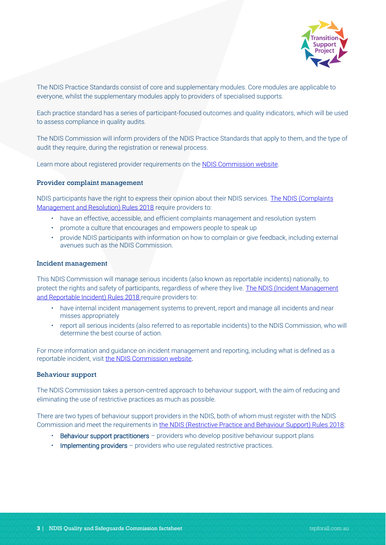

The NDIS Practice Standards consist of core and supplementary modules. Core modules are applicable to everyone, whilst the supplementary modules apply to providers of specialised supports.

Each practice standard has a series of participant-focused outcomes and quality indicators, which will be used to assess compliance in quality audits.

The NDIS Commission will inform providers of the NDIS Practice Standards that apply to them, and the type of audit they require, during the registration or renewal process.

Learn more about registered provider requirements on the [NDIS Commission website.](https://www.ndiscommission.gov.au/providers/registered-provider-requirements)

#### Provider complaint management

NDIS participants have the right to express their opinion about their NDIS services. The NDIS (Complaints [Management and Resolution\) Rules 2018](https://www.legislation.gov.au/Series/F2018L00634) require providers to:

- have an effective, accessible, and efficient complaints management and resolution system
- promote a culture that encourages and empowers people to speak up
- provide NDIS participants with information on how to complain or give feedback, including external avenues such as the NDIS Commission.

#### Incident management

This NDIS Commission will manage serious incidents (also known as reportable incidents) nationally, to protect the rights and safety of participants, regardless of where they live. [The NDIS \(Incident Management](https://www.legislation.gov.au/Series/F2018L00633)  [and Reportable Incident\) Rules 2018](https://www.legislation.gov.au/Series/F2018L00633) require providers to:

- have internal incident management systems to prevent, report and manage all incidents and near misses appropriately
- report all serious incidents (also referred to as reportable incidents) to the NDIS Commission, who will determine the best course of action.

For more information and guidance on incident management and reporting, including what is defined as a reportable incident, visit [the NDIS Commission website.](https://www.ndiscommission.gov.au/providers/incident-management-and-reportable-incidents)

#### Behaviour support

The NDIS Commission takes a person-centred approach to behaviour support, with the aim of reducing and eliminating the use of restrictive practices as much as possible.

There are two types of behaviour support providers in the NDIS, both of whom must register with the NDIS Commission and meet the requirements in the [NDIS \(Restrictive Practice and Behaviour Support\) Rules 2018:](https://www.legislation.gov.au/Series/F2018L00632)

- **Behaviour support practitioners** providers who develop positive behaviour support plans
- Implementing providers providers who use regulated restrictive practices.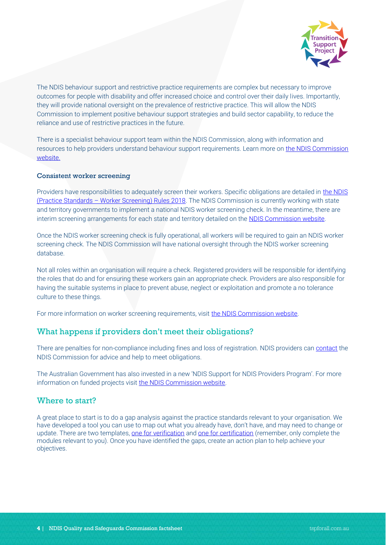

The NDIS behaviour support and restrictive practice requirements are complex but necessary to improve outcomes for people with disability and offer increased choice and control over their daily lives. Importantly, they will provide national oversight on the prevalence of restrictive practice. This will allow the NDIS Commission to implement positive behaviour support strategies and build sector capability, to reduce the reliance and use of restrictive practices in the future.

There is a specialist behaviour support team within the NDIS Commission, along with information and resources to help providers understand behaviour support requirements. Learn more on [the NDIS Commission](https://www.ndiscommission.gov.au/providers/behaviour-support)  [website.](https://www.ndiscommission.gov.au/providers/behaviour-support)

#### Consistent worker screening

Providers have responsibilities to adequately screen their workers. Specific obligations are detailed in the NDIS (Practice Standards – [Worker Screening\) Rules 2018.](https://www.legislation.gov.au/Series/F2018L00887) The NDIS Commission is currently working with state and territory governments to implement a national NDIS worker screening check. In the meantime, there are interim screening arrangements for each state and territory detailed on the [NDIS Commission website.](https://www.ndiscommission.gov.au/providers/worker-screening/interimarrangements)

Once the NDIS worker screening check is fully operational, all workers will be required to gain an NDIS worker screening check. The NDIS Commission will have national oversight through the NDIS worker screening database.

Not all roles within an organisation will require a check. Registered providers will be responsible for identifying the roles that do and for ensuring these workers gain an appropriate check. Providers are also responsible for having the suitable systems in place to prevent abuse, neglect or exploitation and promote a no tolerance culture to these things.

For more information on worker screening requirements, visit [the NDIS Commission website.](https://www.ndiscommission.gov.au/providers/worker-screening)

### What happens if providers don't meet their obligations?

There are penalties for non-compliance including fines and loss of registration. NDIS providers ca[n contact](https://www.ndiscommission.gov.au/about/contact) the NDIS Commission for advice and help to meet obligations.

The Australian Government has also invested in a new 'NDIS Support for NDIS Providers Program'. For more information on funded projects visit [the NDIS Commission website.](https://www.ndiscommission.gov.au/support-ndis-providers)

## Where to start?

A great place to start is to do a gap analysis against the practice standards relevant to your organisation. We have developed a tool you can use to map out what you already have, don't have, and may need to change or update. There are two templates, [one for verification](https://www.tspforall.com.au/download/12) and [one for certification](https://www.tspforall.com.au/download/13) (remember, only complete the modules relevant to you). Once you have identified the gaps, create an action plan to help achieve your objectives.